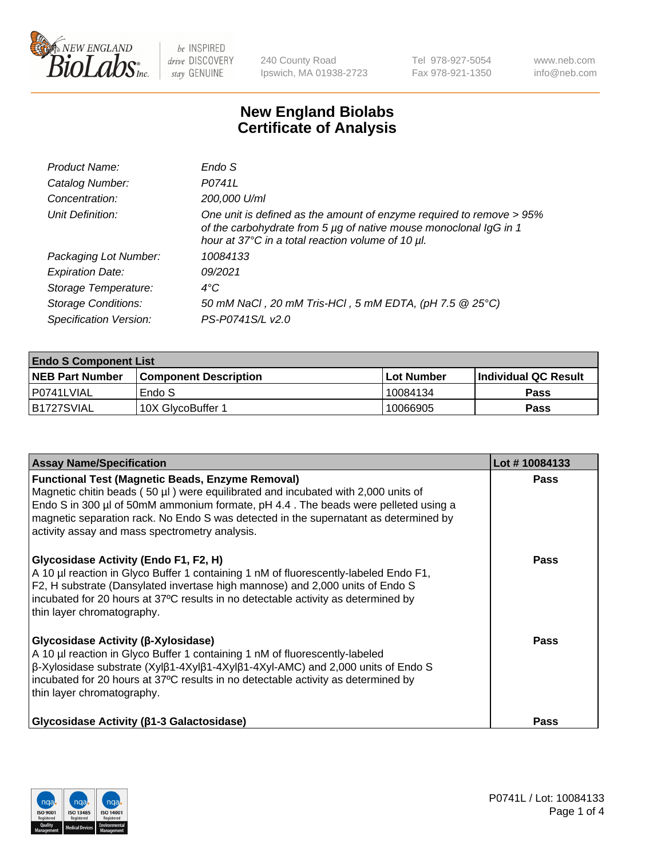

240 County Road Ipswich, MA 01938-2723 Tel 978-927-5054 Fax 978-921-1350 www.neb.com info@neb.com

## **New England Biolabs Certificate of Analysis**

| Product Name:              | Endo S                                                                                                                                                                                         |
|----------------------------|------------------------------------------------------------------------------------------------------------------------------------------------------------------------------------------------|
| Catalog Number:            | P0741L                                                                                                                                                                                         |
| Concentration:             | 200,000 U/ml                                                                                                                                                                                   |
| Unit Definition:           | One unit is defined as the amount of enzyme required to remove > 95%<br>of the carbohydrate from 5 µg of native mouse monoclonal IgG in 1<br>hour at 37°C in a total reaction volume of 10 µl. |
| Packaging Lot Number:      | 10084133                                                                                                                                                                                       |
| <b>Expiration Date:</b>    | 09/2021                                                                                                                                                                                        |
| Storage Temperature:       | $4^{\circ}$ C                                                                                                                                                                                  |
| <b>Storage Conditions:</b> | 50 mM NaCl, 20 mM Tris-HCl, 5 mM EDTA, (pH 7.5 @ 25°C)                                                                                                                                         |
| Specification Version:     | PS-P0741S/L v2.0                                                                                                                                                                               |
|                            |                                                                                                                                                                                                |

| <b>Endo S Component List</b> |                         |              |                             |  |  |
|------------------------------|-------------------------|--------------|-----------------------------|--|--|
| <b>NEB Part Number</b>       | l Component Description | l Lot Number | <b>Individual QC Result</b> |  |  |
| l P0741LVIAL                 | Endo S                  | 10084134     | <b>Pass</b>                 |  |  |
| IB1727SVIAL                  | 10X GlycoBuffer 1       | 10066905     | Pass                        |  |  |

| <b>Assay Name/Specification</b>                                                                                                                                                                                                                                                                                                                                              | Lot #10084133 |
|------------------------------------------------------------------------------------------------------------------------------------------------------------------------------------------------------------------------------------------------------------------------------------------------------------------------------------------------------------------------------|---------------|
| <b>Functional Test (Magnetic Beads, Enzyme Removal)</b><br>Magnetic chitin beads (50 µl) were equilibrated and incubated with 2,000 units of<br>Endo S in 300 µl of 50mM ammonium formate, pH 4.4. The beads were pelleted using a<br>magnetic separation rack. No Endo S was detected in the supernatant as determined by<br>activity assay and mass spectrometry analysis. | <b>Pass</b>   |
| Glycosidase Activity (Endo F1, F2, H)<br>A 10 µl reaction in Glyco Buffer 1 containing 1 nM of fluorescently-labeled Endo F1,<br>F2, H substrate (Dansylated invertase high mannose) and 2,000 units of Endo S<br>incubated for 20 hours at 37°C results in no detectable activity as determined by<br>thin layer chromatography.                                            | <b>Pass</b>   |
| Glycosidase Activity (β-Xylosidase)<br>A 10 µl reaction in Glyco Buffer 1 containing 1 nM of fluorescently-labeled<br>β-Xylosidase substrate (Xylβ1-4Xylβ1-4Xylβ1-4Xyl-AMC) and 2,000 units of Endo S<br>incubated for 20 hours at 37°C results in no detectable activity as determined by<br>thin layer chromatography.                                                     | <b>Pass</b>   |
| <b>Glycosidase Activity (β1-3 Galactosidase)</b>                                                                                                                                                                                                                                                                                                                             | Pass          |

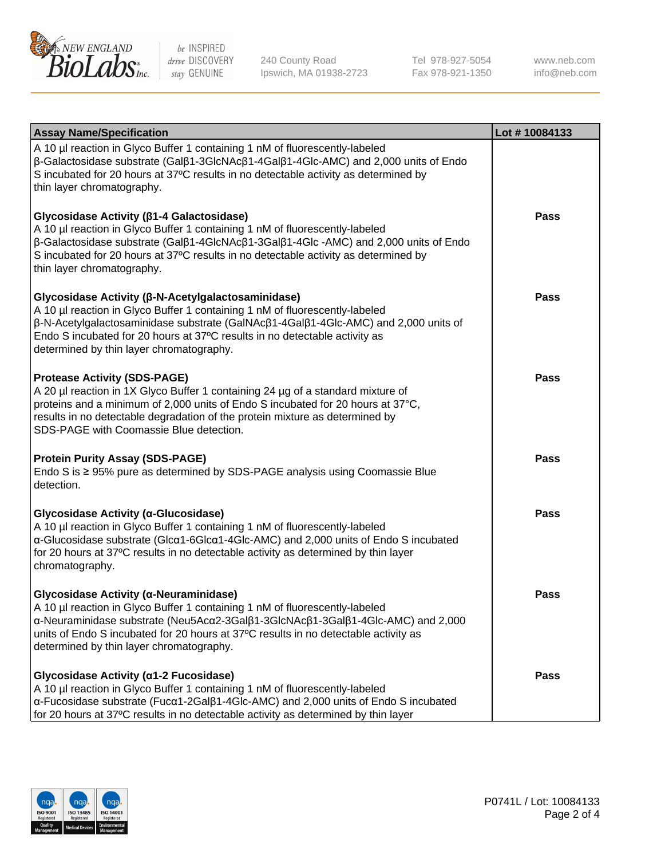

240 County Road Ipswich, MA 01938-2723 Tel 978-927-5054 Fax 978-921-1350

www.neb.com info@neb.com

| <b>Assay Name/Specification</b>                                                                                                                                                                                                                                                                                                                    | Lot #10084133 |
|----------------------------------------------------------------------------------------------------------------------------------------------------------------------------------------------------------------------------------------------------------------------------------------------------------------------------------------------------|---------------|
| A 10 µl reaction in Glyco Buffer 1 containing 1 nM of fluorescently-labeled<br>$\beta$ -Galactosidase substrate (Gal $\beta$ 1-3GlcNAc $\beta$ 1-4Gal $\beta$ 1-4Glc-AMC) and 2,000 units of Endo<br>S incubated for 20 hours at 37°C results in no detectable activity as determined by<br>thin layer chromatography.                             |               |
| Glycosidase Activity (β1-4 Galactosidase)<br>A 10 µl reaction in Glyco Buffer 1 containing 1 nM of fluorescently-labeled<br>β-Galactosidase substrate (Galβ1-4GlcNAcβ1-3Galβ1-4Glc -AMC) and 2,000 units of Endo<br>S incubated for 20 hours at 37°C results in no detectable activity as determined by<br>thin layer chromatography.              | Pass          |
| Glycosidase Activity (β-N-Acetylgalactosaminidase)<br>A 10 µl reaction in Glyco Buffer 1 containing 1 nM of fluorescently-labeled<br>β-N-Acetylgalactosaminidase substrate (GalNAcβ1-4Galβ1-4Glc-AMC) and 2,000 units of<br>Endo S incubated for 20 hours at 37°C results in no detectable activity as<br>determined by thin layer chromatography. | Pass          |
| <b>Protease Activity (SDS-PAGE)</b><br>A 20 µl reaction in 1X Glyco Buffer 1 containing 24 µg of a standard mixture of<br>proteins and a minimum of 2,000 units of Endo S incubated for 20 hours at 37°C,<br>results in no detectable degradation of the protein mixture as determined by<br>SDS-PAGE with Coomassie Blue detection.               | Pass          |
| <b>Protein Purity Assay (SDS-PAGE)</b><br>Endo S is $\geq$ 95% pure as determined by SDS-PAGE analysis using Coomassie Blue<br>detection.                                                                                                                                                                                                          | <b>Pass</b>   |
| Glycosidase Activity (α-Glucosidase)<br>A 10 µl reaction in Glyco Buffer 1 containing 1 nM of fluorescently-labeled<br>α-Glucosidase substrate (Glcα1-6Glcα1-4Glc-AMC) and 2,000 units of Endo S incubated<br>for 20 hours at 37°C results in no detectable activity as determined by thin layer<br>chromatography.                                | <b>Pass</b>   |
| Glycosidase Activity (α-Neuraminidase)<br>A 10 µl reaction in Glyco Buffer 1 containing 1 nM of fluorescently-labeled<br>α-Neuraminidase substrate (Neu5Acα2-3Galβ1-3GlcNAcβ1-3Galβ1-4Glc-AMC) and 2,000<br>units of Endo S incubated for 20 hours at 37°C results in no detectable activity as<br>determined by thin layer chromatography.        | Pass          |
| Glycosidase Activity (α1-2 Fucosidase)<br>A 10 µl reaction in Glyco Buffer 1 containing 1 nM of fluorescently-labeled<br>α-Fucosidase substrate (Fucα1-2Galβ1-4Glc-AMC) and 2,000 units of Endo S incubated<br>for 20 hours at 37°C results in no detectable activity as determined by thin layer                                                  | Pass          |

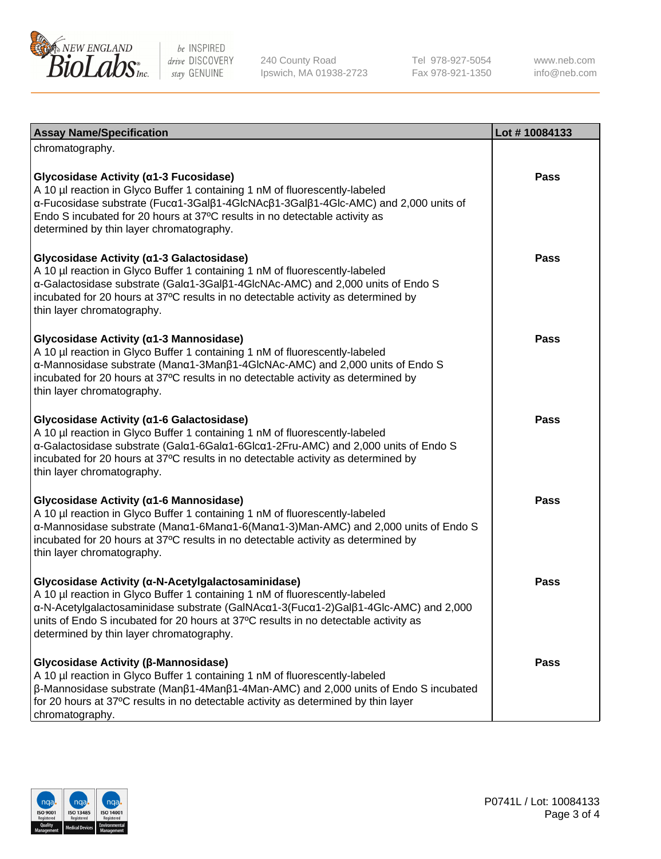

240 County Road Ipswich, MA 01938-2723 Tel 978-927-5054 Fax 978-921-1350

www.neb.com info@neb.com

| <b>Assay Name/Specification</b>                                                                                                                                                                                                                                                                                                                             | Lot #10084133 |
|-------------------------------------------------------------------------------------------------------------------------------------------------------------------------------------------------------------------------------------------------------------------------------------------------------------------------------------------------------------|---------------|
| chromatography.                                                                                                                                                                                                                                                                                                                                             |               |
| Glycosidase Activity (α1-3 Fucosidase)<br>A 10 µl reaction in Glyco Buffer 1 containing 1 nM of fluorescently-labeled<br>α-Fucosidase substrate (Fucα1-3Galβ1-4GlcNAcβ1-3Galβ1-4Glc-AMC) and 2,000 units of<br>Endo S incubated for 20 hours at 37°C results in no detectable activity as<br>determined by thin layer chromatography.                       | <b>Pass</b>   |
| Glycosidase Activity (α1-3 Galactosidase)<br>A 10 µl reaction in Glyco Buffer 1 containing 1 nM of fluorescently-labeled<br>α-Galactosidase substrate (Galα1-3Galβ1-4GlcNAc-AMC) and 2,000 units of Endo S<br>incubated for 20 hours at 37°C results in no detectable activity as determined by<br>thin layer chromatography.                               | <b>Pass</b>   |
| Glycosidase Activity (a1-3 Mannosidase)<br>A 10 µl reaction in Glyco Buffer 1 containing 1 nM of fluorescently-labeled<br>α-Mannosidase substrate (Μanα1-3Μanβ1-4GlcNAc-AMC) and 2,000 units of Endo S<br>incubated for 20 hours at 37°C results in no detectable activity as determined by<br>thin layer chromatography.                                   | Pass          |
| Glycosidase Activity (α1-6 Galactosidase)<br>A 10 µl reaction in Glyco Buffer 1 containing 1 nM of fluorescently-labeled<br>α-Galactosidase substrate (Galα1-6Galα1-6Glcα1-2Fru-AMC) and 2,000 units of Endo S<br>incubated for 20 hours at 37°C results in no detectable activity as determined by<br>thin layer chromatography.                           | <b>Pass</b>   |
| Glycosidase Activity (α1-6 Mannosidase)<br>A 10 µl reaction in Glyco Buffer 1 containing 1 nM of fluorescently-labeled<br>α-Mannosidase substrate (Μanα1-6Μanα1-6(Μanα1-3)Man-AMC) and 2,000 units of Endo S<br>incubated for 20 hours at 37°C results in no detectable activity as determined by<br>thin layer chromatography.                             | <b>Pass</b>   |
| Glycosidase Activity (α-N-Acetylgalactosaminidase)<br>A 10 µl reaction in Glyco Buffer 1 containing 1 nM of fluorescently-labeled<br>α-N-Acetylgalactosaminidase substrate (GalNAcα1-3(Fucα1-2)Galβ1-4Glc-AMC) and 2,000<br>units of Endo S incubated for 20 hours at 37°C results in no detectable activity as<br>determined by thin layer chromatography. | Pass          |
| Glycosidase Activity (β-Mannosidase)<br>A 10 µl reaction in Glyco Buffer 1 containing 1 nM of fluorescently-labeled<br>$\beta$ -Mannosidase substrate (Man $\beta$ 1-4Man $\beta$ 1-4Man-AMC) and 2,000 units of Endo S incubated<br>for 20 hours at 37°C results in no detectable activity as determined by thin layer<br>chromatography.                  | <b>Pass</b>   |